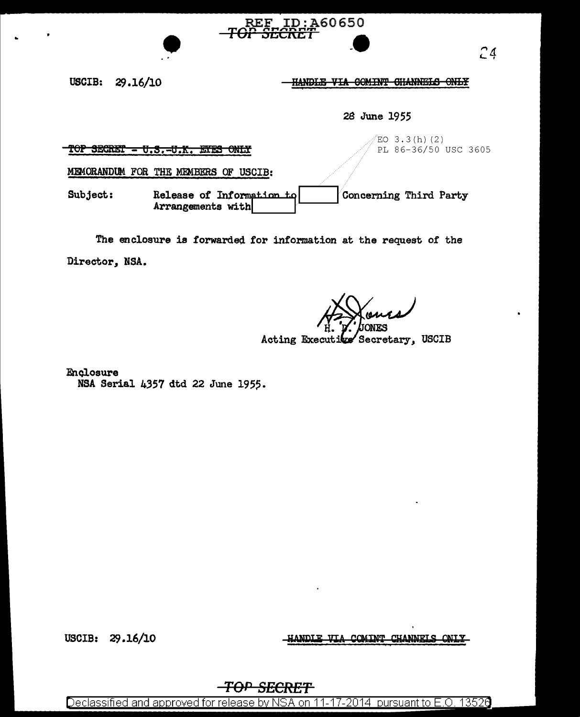USCIB: 29 .16/10

HANDLE VIA GOMINT CHANNELS ONLY

 $\bullet$ 

28 June 1955

 $TOP$  SECRET -  $U.S.-U.K.$  EYES ONLY

 $EO$  3.3(h)(2) PL 86-36/50 USC 3605

MEMORANDUM FOR THE MEMBERS OF USCIB:

Subject: Release of Information to  $\sim$  Concerning Third Party Arrangements with  $\sim$ 

.. REF ID:A60650<br><del>P SECRET</del>

The enclosure is forwarded tor information at the request of the Director, NSA.

 $#$   $%$  ones

Acting Executive Secretary, USCIB

Enclosure NSA Serial 4357 dtd 22 June 195?·

USCIB: 29.16/10

COMINT CHANNELS ONLY HANDIE VIA

## TOP SECRET

Declassified and approved for release by NSA on 11-17-2014 pursuant to E.O. 13526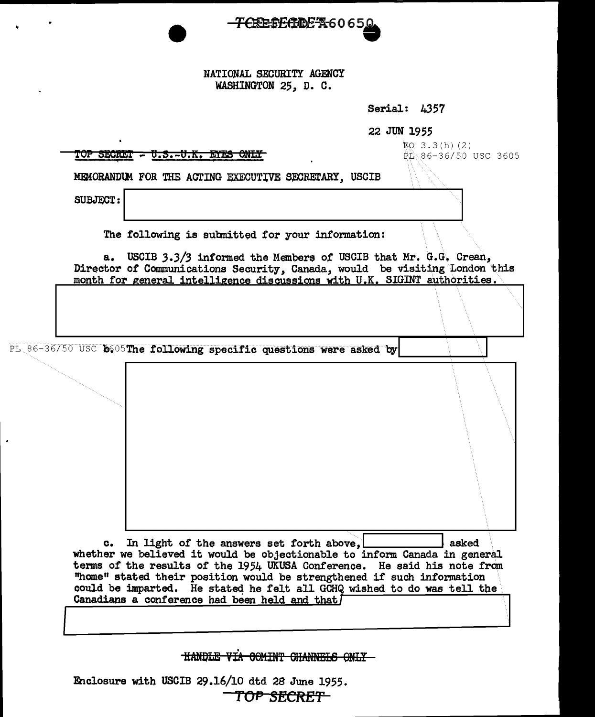

NATIONAL SECURITY AGENCY WASHINGTON 25, D. C.

Serial: 4357

22 JUN 1955

| <u>TOP SECRET - U.S.-U.K. ETES ONLY</u>                                                                                                                                                                                                                                                                                                                                                                                            | EQ $3.3(h)(2)$<br>PL 86-36/50 USC 3605 |
|------------------------------------------------------------------------------------------------------------------------------------------------------------------------------------------------------------------------------------------------------------------------------------------------------------------------------------------------------------------------------------------------------------------------------------|----------------------------------------|
| MEMORANDUM FOR THE ACTING EXECUTIVE SECRETARY, USCIB                                                                                                                                                                                                                                                                                                                                                                               |                                        |
| <b>SUBJECT:</b>                                                                                                                                                                                                                                                                                                                                                                                                                    |                                        |
| The following is submitted for your information:                                                                                                                                                                                                                                                                                                                                                                                   |                                        |
| USCIB 3.3/3 informed the Members of USCIB that Mr. G.G. Crean,<br>а.<br>Director of Communications Security, Canada, would be visiting London this<br>month for general intelligence discussions with U.K. SIGINT authorities.                                                                                                                                                                                                     |                                        |
|                                                                                                                                                                                                                                                                                                                                                                                                                                    |                                        |
| PL 86-36/50 USC b605The following specific questions were asked by                                                                                                                                                                                                                                                                                                                                                                 |                                        |
|                                                                                                                                                                                                                                                                                                                                                                                                                                    |                                        |
|                                                                                                                                                                                                                                                                                                                                                                                                                                    |                                        |
| In light of the answers set forth above,<br>$\mathbf{c}_{\bullet}$<br>whether we believed it would be objectionable to inform Canada in general<br>terms of the results of the 1954 UKUSA Conference. He said his note from<br>"home" stated their position would be strengthened if such information<br>could be imparted. He stated he felt all GCHQ wished to do was tell the<br>Canadians a conference had been held and that] | asked                                  |
|                                                                                                                                                                                                                                                                                                                                                                                                                                    |                                        |

HANDLE VIA COMINT CHANNELS ONLY-

Enclosure with USCIB 29.16/10 dtd 28 June 1955. TOP SECRET

 $\bullet$